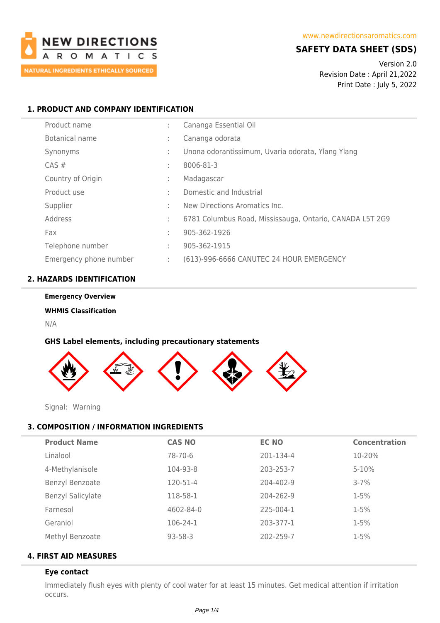

## **SAFETY DATA SHEET (SDS)**

Version 2.0 Revision Date : April 21,2022 Print Date : July 5, 2022

## **1. PRODUCT AND COMPANY IDENTIFICATION**

| Product name           | ÷                 | Cananga Essential Oil                                    |
|------------------------|-------------------|----------------------------------------------------------|
| Botanical name         | ÷                 | Cananga odorata                                          |
| Synonyms               | ÷                 | Unona odorantissimum, Uvaria odorata, Ylang Ylang        |
| CAS#                   | ÷                 | 8006-81-3                                                |
| Country of Origin      | ٠<br>$\mathbf{r}$ | Madagascar                                               |
| Product use            | ÷                 | Domestic and Industrial                                  |
| Supplier               | t                 | New Directions Aromatics Inc.                            |
| Address                | t                 | 6781 Columbus Road, Mississauga, Ontario, CANADA L5T 2G9 |
| Fax                    | t                 | 905-362-1926                                             |
| Telephone number       | ÷                 | 905-362-1915                                             |
| Emergency phone number | ÷                 | (613)-996-6666 CANUTEC 24 HOUR EMERGENCY                 |

## **2. HAZARDS IDENTIFICATION**

#### **Emergency Overview**

## **WHMIS Classification**

N/A

## **GHS Label elements, including precautionary statements**



Signal: Warning

# **3. COMPOSITION / INFORMATION INGREDIENTS**

| <b>Product Name</b>      | <b>CAS NO</b> | <b>EC NO</b> | <b>Concentration</b> |
|--------------------------|---------------|--------------|----------------------|
| Linalool                 | 78-70-6       | 201-134-4    | 10-20%               |
| 4-Methylanisole          | 104-93-8      | 203-253-7    | $5 - 10%$            |
| Benzyl Benzoate          | 120-51-4      | 204-402-9    | $3 - 7%$             |
| <b>Benzyl Salicylate</b> | 118-58-1      | 204-262-9    | $1 - 5%$             |
| Farnesol                 | 4602-84-0     | 225-004-1    | $1 - 5%$             |
| Geraniol                 | 106-24-1      | 203-377-1    | $1 - 5%$             |
| Methyl Benzoate          | 93-58-3       | 202-259-7    | $1 - 5%$             |
|                          |               |              |                      |

## **4. FIRST AID MEASURES**

## **Eye contact**

Immediately flush eyes with plenty of cool water for at least 15 minutes. Get medical attention if irritation occurs.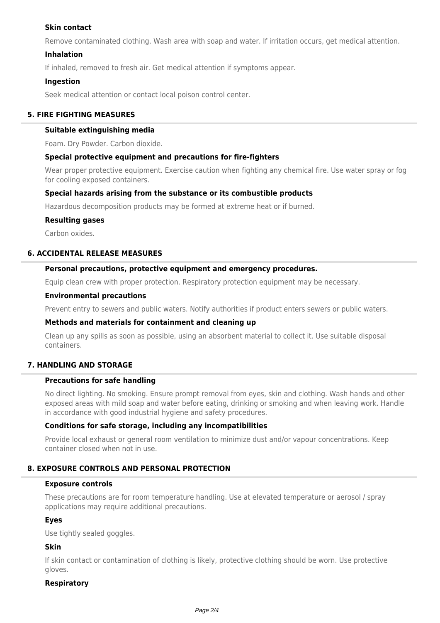## **Skin contact**

Remove contaminated clothing. Wash area with soap and water. If irritation occurs, get medical attention.

## **Inhalation**

If inhaled, removed to fresh air. Get medical attention if symptoms appear.

## **Ingestion**

Seek medical attention or contact local poison control center.

## **5. FIRE FIGHTING MEASURES**

#### **Suitable extinguishing media**

Foam. Dry Powder. Carbon dioxide.

### **Special protective equipment and precautions for fire-fighters**

Wear proper protective equipment. Exercise caution when fighting any chemical fire. Use water spray or fog for cooling exposed containers.

### **Special hazards arising from the substance or its combustible products**

Hazardous decomposition products may be formed at extreme heat or if burned.

#### **Resulting gases**

Carbon oxides.

### **6. ACCIDENTAL RELEASE MEASURES**

### **Personal precautions, protective equipment and emergency procedures.**

Equip clean crew with proper protection. Respiratory protection equipment may be necessary.

#### **Environmental precautions**

Prevent entry to sewers and public waters. Notify authorities if product enters sewers or public waters.

### **Methods and materials for containment and cleaning up**

Clean up any spills as soon as possible, using an absorbent material to collect it. Use suitable disposal containers.

## **7. HANDLING AND STORAGE**

## **Precautions for safe handling**

No direct lighting. No smoking. Ensure prompt removal from eyes, skin and clothing. Wash hands and other exposed areas with mild soap and water before eating, drinking or smoking and when leaving work. Handle in accordance with good industrial hygiene and safety procedures.

### **Conditions for safe storage, including any incompatibilities**

Provide local exhaust or general room ventilation to minimize dust and/or vapour concentrations. Keep container closed when not in use.

## **8. EXPOSURE CONTROLS AND PERSONAL PROTECTION**

#### **Exposure controls**

These precautions are for room temperature handling. Use at elevated temperature or aerosol / spray applications may require additional precautions.

### **Eyes**

Use tightly sealed goggles.

## **Skin**

If skin contact or contamination of clothing is likely, protective clothing should be worn. Use protective gloves.

### **Respiratory**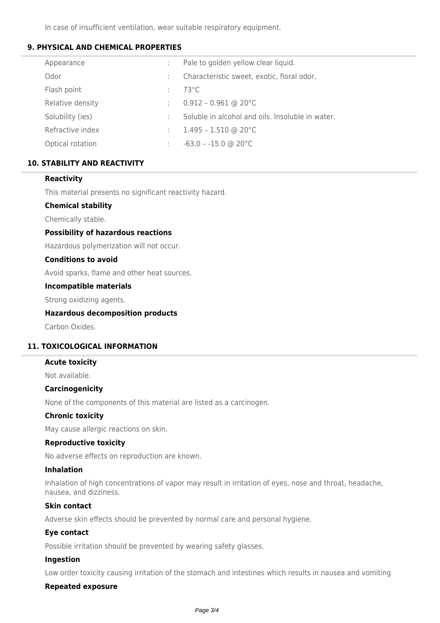In case of insufficient ventilation, wear suitable respiratory equipment.

## **9. PHYSICAL AND CHEMICAL PROPERTIES**

| Appearance       | Pale to golden yellow clear liquid.              |
|------------------|--------------------------------------------------|
| Odor             | Characteristic sweet, exotic, floral odor.       |
| Flash point      | $73^{\circ}$ C                                   |
| Relative density | $0.912 - 0.961$ @ 20°C                           |
| Solubility (ies) | Soluble in alcohol and oils. Insoluble in water. |
| Refractive index | $1.495 - 1.510$ @ 20°C                           |
| Optical rotation | $-63.0 - -15.0$ @ 20 °C                          |
|                  |                                                  |

## **10. STABILITY AND REACTIVITY**

### **Reactivity**

This material presents no significant reactivity hazard.

### **Chemical stability**

Chemically stable.

### **Possibility of hazardous reactions**

Hazardous polymerization will not occur.

#### **Conditions to avoid**

Avoid sparks, flame and other heat sources.

#### **Incompatible materials**

Strong oxidizing agents.

### **Hazardous decomposition products**

Carbon Oxides.

## **11. TOXICOLOGICAL INFORMATION**

#### **Acute toxicity**

Not available.

### **Carcinogenicity**

None of the components of this material are listed as a carcinogen.

### **Chronic toxicity**

May cause allergic reactions on skin.

### **Reproductive toxicity**

No adverse effects on reproduction are known.

#### **Inhalation**

Inhalation of high concentrations of vapor may result in irritation of eyes, nose and throat, headache, nausea, and dizziness.

### **Skin contact**

Adverse skin effects should be prevented by normal care and personal hygiene.

### **Eye contact**

Possible irritation should be prevented by wearing safety glasses.

### **Ingestion**

Low order toxicity causing irritation of the stomach and intestines which results in nausea and vomiting

## **Repeated exposure**